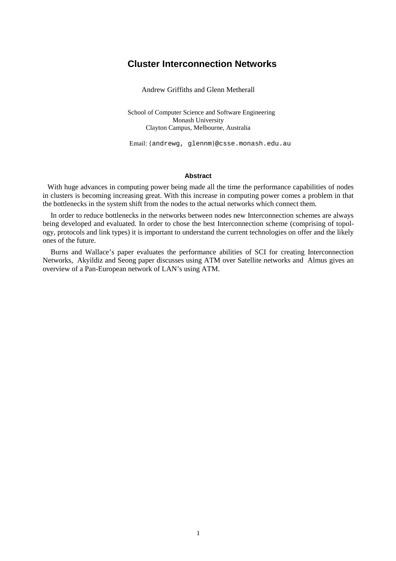## **Cluster Interconnection Networks**

Andrew Griffiths and Glenn Metherall

School of Computer Science and Software Engineering Monash University Clayton Campus, Melbourne, Australia

Email: {andrewg, glennm}@csse.monash.edu.au

#### **Abstract**

With huge advances in computing power being made all the time the performance capabilities of nodes in clusters is becoming increasing great. With this increase in computing power comes a problem in that the bottlenecks in the system shift from the nodes to the actual networks which connect them.

In order to reduce bottlenecks in the networks between nodes new Interconnection schemes are always being developed and evaluated. In order to chose the best Interconnection scheme (comprising of topology, protocols and link types) it is important to understand the current technologies on offer and the likely ones of the future.

Burns and Wallace's paper evaluates the performance abilities of SCI for creating Interconnection Networks, Akyildiz and Seong paper discusses using ATM over Satellite networks and Almus gives an overview of a Pan-European network of LAN's using ATM.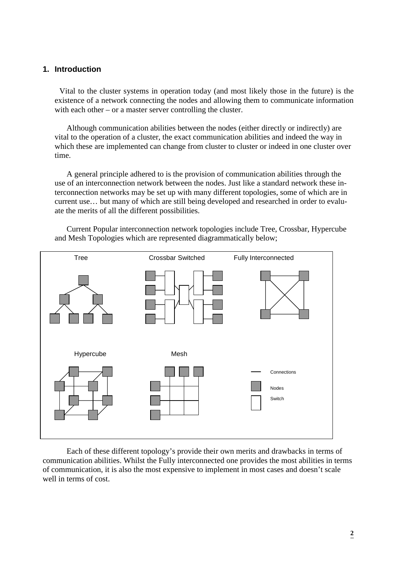### **1. Introduction**

Vital to the cluster systems in operation today (and most likely those in the future) is the existence of a network connecting the nodes and allowing them to communicate information with each other – or a master server controlling the cluster.

Although communication abilities between the nodes (either directly or indirectly) are vital to the operation of a cluster, the exact communication abilities and indeed the way in which these are implemented can change from cluster to cluster or indeed in one cluster over time.

A general principle adhered to is the provision of communication abilities through the use of an interconnection network between the nodes. Just like a standard network these interconnection networks may be set up with many different topologies, some of which are in current use… but many of which are still being developed and researched in order to evaluate the merits of all the different possibilities.

Current Popular interconnection network topologies include Tree, Crossbar, Hypercube and Mesh Topologies which are represented diagrammatically below;



Each of these different topology's provide their own merits and drawbacks in terms of communication abilities. Whilst the Fully interconnected one provides the most abilities in terms of communication, it is also the most expensive to implement in most cases and doesn't scale well in terms of cost.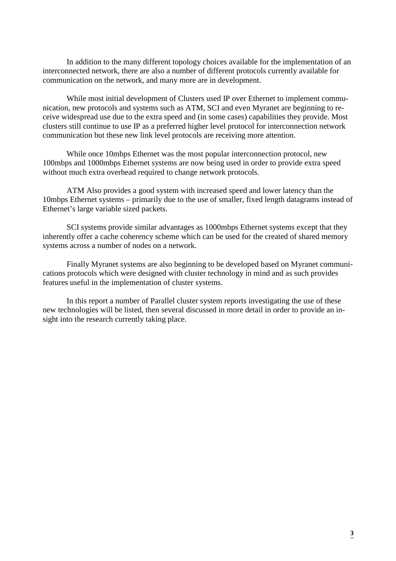In addition to the many different topology choices available for the implementation of an interconnected network, there are also a number of different protocols currently available for communication on the network, and many more are in development.

While most initial development of Clusters used IP over Ethernet to implement communication, new protocols and systems such as ATM, SCI and even Myranet are beginning to receive widespread use due to the extra speed and (in some cases) capabilities they provide. Most clusters still continue to use IP as a preferred higher level protocol for interconnection network communication but these new link level protocols are receiving more attention.

While once 10mbps Ethernet was the most popular interconnection protocol, new 100mbps and 1000mbps Ethernet systems are now being used in order to provide extra speed without much extra overhead required to change network protocols.

ATM Also provides a good system with increased speed and lower latency than the 10mbps Ethernet systems – primarily due to the use of smaller, fixed length datagrams instead of Ethernet's large variable sized packets.

SCI systems provide similar advantages as 1000mbps Ethernet systems except that they inherently offer a cache coherency scheme which can be used for the created of shared memory systems across a number of nodes on a network.

Finally Myranet systems are also beginning to be developed based on Myranet communications protocols which were designed with cluster technology in mind and as such provides features useful in the implementation of cluster systems.

In this report a number of Parallel cluster system reports investigating the use of these new technologies will be listed, then several discussed in more detail in order to provide an insight into the research currently taking place.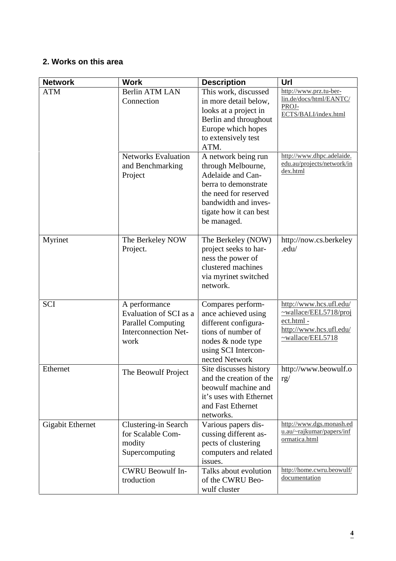# **2. Works on this area**

| <b>Network</b>          | <b>Work</b>                                                                                                 | <b>Description</b>                                                                                                                                                               | Url                                                                                                                |
|-------------------------|-------------------------------------------------------------------------------------------------------------|----------------------------------------------------------------------------------------------------------------------------------------------------------------------------------|--------------------------------------------------------------------------------------------------------------------|
| <b>ATM</b>              | <b>Berlin ATM LAN</b><br>Connection                                                                         | This work, discussed<br>in more detail below,<br>looks at a project in<br>Berlin and throughout<br>Europe which hopes<br>to extensively test<br>ATM.                             | http://www.prz.tu-ber-<br>lin.de/docs/html/EANTC/<br>PROJ-<br>ECTS/BALI/index.html                                 |
|                         | <b>Networks Evaluation</b><br>and Benchmarking<br>Project                                                   | A network being run<br>through Melbourne,<br>Adelaide and Can-<br>berra to demonstrate<br>the need for reserved<br>bandwidth and inves-<br>tigate how it can best<br>be managed. | http://www.dhpc.adelaide.<br>edu.au/projects/network/in<br>dex.html                                                |
| Myrinet                 | The Berkeley NOW<br>Project.                                                                                | The Berkeley (NOW)<br>project seeks to har-<br>ness the power of<br>clustered machines<br>via myrinet switched<br>network.                                                       | http://now.cs.berkeley<br>.edu/                                                                                    |
| <b>SCI</b>              | A performance<br>Evaluation of SCI as a<br><b>Parallel Computing</b><br><b>Interconnection Net-</b><br>work | Compares perform-<br>ance achieved using<br>different configura-<br>tions of number of<br>nodes & node type<br>using SCI Intercon-<br>nected Network                             | http://www.hcs.ufl.edu/<br>$\nu$ wallace/EEL5718/proj<br>ect.html -<br>http://www.hcs.ufl.edu/<br>~wallace/EEL5718 |
| Ethernet                | The Beowulf Project                                                                                         | Site discusses history<br>and the creation of the<br>beowulf machine and<br>it's uses with Ethernet<br>and Fast Ethernet<br>networks.                                            | http://www.beowulf.o<br>rg/                                                                                        |
| <b>Gigabit Ethernet</b> | Clustering-in Search<br>for Scalable Com-<br>modity<br>Supercomputing                                       | Various papers dis-<br>cussing different as-<br>pects of clustering<br>computers and related<br>issues.                                                                          | http://www.dgs.monash.ed<br>u.au/~rajkumar/papers/inf<br>ormatica.html                                             |
|                         | <b>CWRU Beowulf In-</b><br>troduction                                                                       | Talks about evolution<br>of the CWRU Beo-<br>wulf cluster                                                                                                                        | http://home.cwru.beowulf/<br>documentation                                                                         |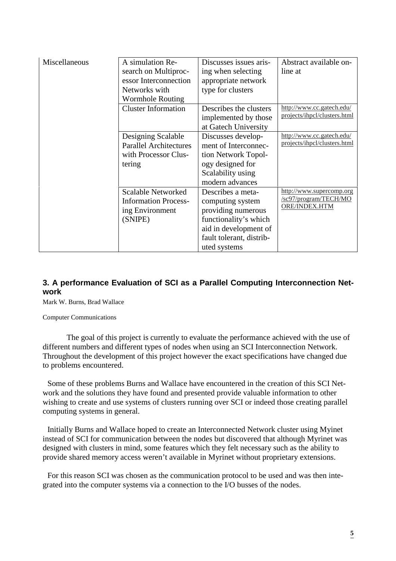| Miscellaneous | A simulation Re-<br>search on Multiproc-<br>essor Interconnection<br>Networks with<br><b>Wormhole Routing</b> | Discusses issues aris-<br>ing when selecting<br>appropriate network<br>type for clusters                                                                  | Abstract available on-<br>line at                                  |
|---------------|---------------------------------------------------------------------------------------------------------------|-----------------------------------------------------------------------------------------------------------------------------------------------------------|--------------------------------------------------------------------|
|               | <b>Cluster Information</b>                                                                                    | Describes the clusters<br>implemented by those<br>at Gatech University                                                                                    | http://www.cc.gatech.edu/<br>projects/ihpcl/clusters.html          |
|               | Designing Scalable<br><b>Parallel Architectures</b><br>with Processor Clus-<br>tering                         | Discusses develop-<br>ment of Interconnec-<br>tion Network Topol-<br>ogy designed for<br>Scalability using<br>modern advances                             | http://www.cc.gatech.edu/<br>projects/ihpcl/clusters.html          |
|               | <b>Scalable Networked</b><br><b>Information Process-</b><br>ing Environment<br>(SNIPE)                        | Describes a meta-<br>computing system<br>providing numerous<br>functionality's which<br>aid in development of<br>fault tolerant, distrib-<br>uted systems | http://www.supercomp.org<br>/sc97/program/TECH/MO<br>ORE/INDEX.HTM |

### **3. A performance Evaluation of SCI as a Parallel Computing Interconnection Network**

Mark W. Burns, Brad Wallace

Computer Communications

The goal of this project is currently to evaluate the performance achieved with the use of different numbers and different types of nodes when using an SCI Interconnection Network. Throughout the development of this project however the exact specifications have changed due to problems encountered.

Some of these problems Burns and Wallace have encountered in the creation of this SCI Network and the solutions they have found and presented provide valuable information to other wishing to create and use systems of clusters running over SCI or indeed those creating parallel computing systems in general.

Initially Burns and Wallace hoped to create an Interconnected Network cluster using Myinet instead of SCI for communication between the nodes but discovered that although Myrinet was designed with clusters in mind, some features which they felt necessary such as the ability to provide shared memory access weren't available in Myrinet without proprietary extensions.

For this reason SCI was chosen as the communication protocol to be used and was then integrated into the computer systems via a connection to the I/O busses of the nodes.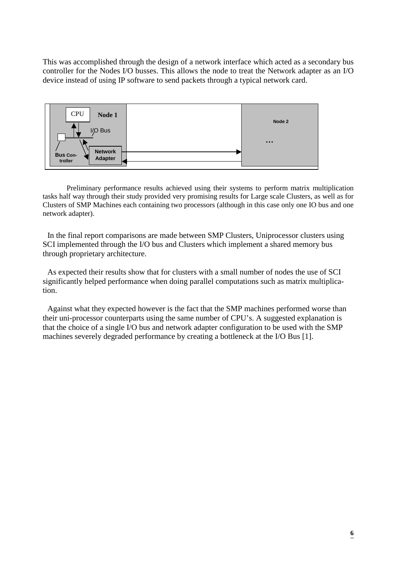This was accomplished through the design of a network interface which acted as a secondary bus controller for the Nodes I/O busses. This allows the node to treat the Network adapter as an I/O device instead of using IP software to send packets through a typical network card.



Preliminary performance results achieved using their systems to perform matrix multiplication tasks half way through their study provided very promising results for Large scale Clusters, as well as for Clusters of SMP Machines each containing two processors (although in this case only one IO bus and one network adapter).

In the final report comparisons are made between SMP Clusters, Uniprocessor clusters using SCI implemented through the I/O bus and Clusters which implement a shared memory bus through proprietary architecture.

As expected their results show that for clusters with a small number of nodes the use of SCI significantly helped performance when doing parallel computations such as matrix multiplication.

Against what they expected however is the fact that the SMP machines performed worse than their uni-processor counterparts using the same number of CPU's. A suggested explanation is that the choice of a single I/O bus and network adapter configuration to be used with the SMP machines severely degraded performance by creating a bottleneck at the I/O Bus [1].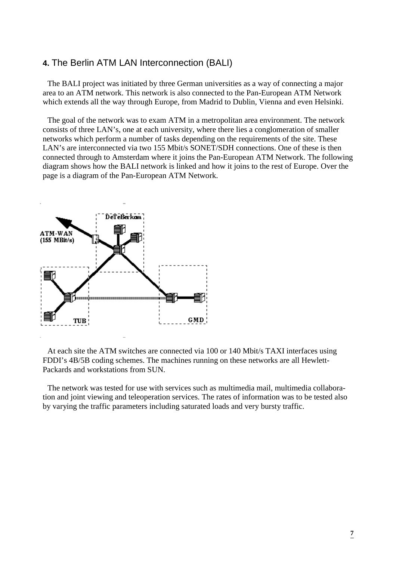## **4.** The Berlin ATM LAN Interconnection (BALI)

The BALI project was initiated by three German universities as a way of connecting a major area to an ATM network. This network is also connected to the Pan-European ATM Network which extends all the way through Europe, from Madrid to Dublin, Vienna and even Helsinki.

The goal of the network was to exam ATM in a metropolitan area environment. The network consists of three LAN's, one at each university, where there lies a conglomeration of smaller networks which perform a number of tasks depending on the requirements of the site. These LAN's are interconnected via two 155 Mbit/s SONET/SDH connections. One of these is then connected through to Amsterdam where it joins the Pan-European ATM Network. The following diagram shows how the BALI network is linked and how it joins to the rest of Europe. Over the page is a diagram of the Pan-European ATM Network.



At each site the ATM switches are connected via 100 or 140 Mbit/s TAXI interfaces using FDDI's 4B/5B coding schemes. The machines running on these networks are all Hewlett-Packards and workstations from SUN.

The network was tested for use with services such as multimedia mail, multimedia collaboration and joint viewing and teleoperation services. The rates of information was to be tested also by varying the traffic parameters including saturated loads and very bursty traffic.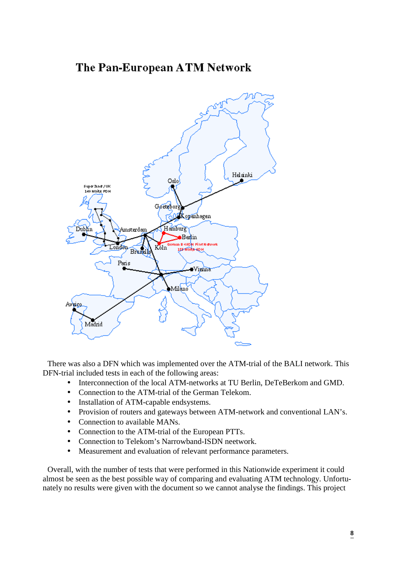# The Pan-European ATM Network



There was also a DFN which was implemented over the ATM-trial of the BALI network. This DFN-trial included tests in each of the following areas:

- Interconnection of the local ATM-networks at TU Berlin, DeTeBerkom and GMD.
- Connection to the ATM-trial of the German Telekom.
- Installation of ATM-capable endsystems.
- Provision of routers and gateways between ATM-network and conventional LAN's.
- Connection to available MANs.
- Connection to the ATM-trial of the European PTTs.
- Connection to Telekom's Narrowband-ISDN neetwork.
- Measurement and evaluation of relevant performance parameters.

Overall, with the number of tests that were performed in this Nationwide experiment it could almost be seen as the best possible way of comparing and evaluating ATM technology. Unfortunately no results were given with the document so we cannot analyse the findings. This project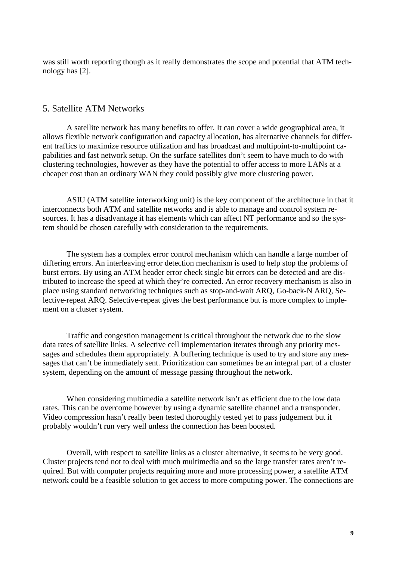was still worth reporting though as it really demonstrates the scope and potential that ATM technology has [2].

## 5. Satellite ATM Networks

A satellite network has many benefits to offer. It can cover a wide geographical area, it allows flexible network configuration and capacity allocation, has alternative channels for different traffics to maximize resource utilization and has broadcast and multipoint-to-multipoint capabilities and fast network setup. On the surface satellites don't seem to have much to do with clustering technologies, however as they have the potential to offer access to more LANs at a cheaper cost than an ordinary WAN they could possibly give more clustering power.

ASIU (ATM satellite interworking unit) is the key component of the architecture in that it interconnects both ATM and satellite networks and is able to manage and control system resources. It has a disadvantage it has elements which can affect NT performance and so the system should be chosen carefully with consideration to the requirements.

The system has a complex error control mechanism which can handle a large number of differing errors. An interleaving error detection mechanism is used to help stop the problems of burst errors. By using an ATM header error check single bit errors can be detected and are distributed to increase the speed at which they're corrected. An error recovery mechanism is also in place using standard networking techniques such as stop-and-wait ARQ, Go-back-N ARQ, Selective-repeat ARQ. Selective-repeat gives the best performance but is more complex to implement on a cluster system.

Traffic and congestion management is critical throughout the network due to the slow data rates of satellite links. A selective cell implementation iterates through any priority messages and schedules them appropriately. A buffering technique is used to try and store any messages that can't be immediately sent. Prioritization can sometimes be an integral part of a cluster system, depending on the amount of message passing throughout the network.

When considering multimedia a satellite network isn't as efficient due to the low data rates. This can be overcome however by using a dynamic satellite channel and a transponder. Video compression hasn't really been tested thoroughly tested yet to pass judgement but it probably wouldn't run very well unless the connection has been boosted.

Overall, with respect to satellite links as a cluster alternative, it seems to be very good. Cluster projects tend not to deal with much multimedia and so the large transfer rates aren't required. But with computer projects requiring more and more processing power, a satellite ATM network could be a feasible solution to get access to more computing power. The connections are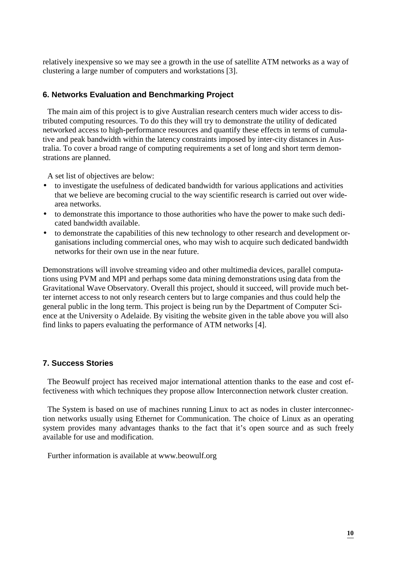relatively inexpensive so we may see a growth in the use of satellite ATM networks as a way of clustering a large number of computers and workstations [3].

### **6. Networks Evaluation and Benchmarking Project**

The main aim of this project is to give Australian research centers much wider access to distributed computing resources. To do this they will try to demonstrate the utility of dedicated networked access to high-performance resources and quantify these effects in terms of cumulative and peak bandwidth within the latency constraints imposed by inter-city distances in Australia. To cover a broad range of computing requirements a set of long and short term demonstrations are planned.

A set list of objectives are below:

- to investigate the usefulness of dedicated bandwidth for various applications and activities that we believe are becoming crucial to the way scientific research is carried out over widearea networks.
- to demonstrate this importance to those authorities who have the power to make such dedicated bandwidth available.
- to demonstrate the capabilities of this new technology to other research and development organisations including commercial ones, who may wish to acquire such dedicated bandwidth networks for their own use in the near future.

Demonstrations will involve streaming video and other multimedia devices, parallel computations using PVM and MPI and perhaps some data mining demonstrations using data from the Gravitational Wave Observatory. Overall this project, should it succeed, will provide much better internet access to not only research centers but to large companies and thus could help the general public in the long term. This project is being run by the Department of Computer Science at the University o Adelaide. By visiting the website given in the table above you will also find links to papers evaluating the performance of ATM networks [4].

### **7. Success Stories**

The Beowulf project has received major international attention thanks to the ease and cost effectiveness with which techniques they propose allow Interconnection network cluster creation.

The System is based on use of machines running Linux to act as nodes in cluster interconnection networks usually using Ethernet for Communication. The choice of Linux as an operating system provides many advantages thanks to the fact that it's open source and as such freely available for use and modification.

Further information is available at www.beowulf.org